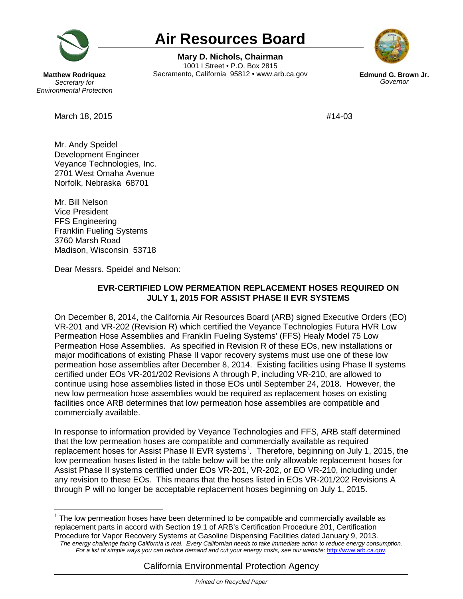

## **Air Resources Board**

 1001 I Street • P.O. Box 2815 **Mary D. Nichols, Chairman**  Sacramento, California 95812 • www.arb.ca.gov **Edmund G. Brown Jr.** 



*Governor* 

 **Matthew Rodriquez**  *Secretary for Environmental Protection* 

March 18, 2015 **#14-03** 

Mr. Andy Speidel Development Engineer Veyance Technologies, Inc. 2701 West Omaha Avenue Norfolk, Nebraska 68701

Mr. Bill Nelson Vice President FFS Engineering Franklin Fueling Systems 3760 Marsh Road Madison, Wisconsin 53718

Dear Messrs. Speidel and Nelson:

## **JULY 1, 2015 FOR ASSIST PHASE II EVR SYSTEMS EVR-CERTIFIED LOW PERMEATION REPLACEMENT HOSES REQUIRED ON**

 major modifications of existing Phase II vapor recovery systems must use one of these low permeation hose assemblies after December 8, 2014. Existing facilities using Phase II systems certified under EOs VR-201/202 Revisions A through P, including VR-210, are allowed to continue using hose assemblies listed in those EOs until September 24, 2018. However, the new low permeation hose assemblies would be required as replacement hoses on existing facilities once ARB determines that low permeation hose assemblies are compatible and On December 8, 2014, the California Air Resources Board (ARB) signed Executive Orders (EO) VR-201 and VR-202 (Revision R) which certified the Veyance Technologies Futura HVR Low Permeation Hose Assemblies and Franklin Fueling Systems' (FFS) Healy Model 75 Low Permeation Hose Assemblies. As specified in Revision R of these EOs, new installations or commercially available.

replacement hoses for Assist Phase II EVR systems<sup>[1](#page-0-0)</sup>. Therefore, beginning on July 1, 2015, the through P will no longer be acceptable replacement hoses beginning on July 1, 2015. In response to information provided by Veyance Technologies and FFS, ARB staff determined that the low permeation hoses are compatible and commercially available as required low permeation hoses listed in the table below will be the only allowable replacement hoses for Assist Phase II systems certified under EOs VR-201, VR-202, or EO VR-210, including under any revision to these EOs. This means that the hoses listed in EOs VR-201/202 Revisions A

 *The energy challenge facing California is real. Every Californian needs to take immediate action to reduce energy consumption. For a list of simple ways you can reduce demand and cut your energy costs, see our website:* [http://www.arb.ca.gov](http://www.arb.ca.gov/)*.* 

<span id="page-0-0"></span> $\overline{\phantom{a}}$  $1$  The low permeation hoses have been determined to be compatible and commercially available as replacement parts in accord with Section 19.1 of ARB's Certification Procedure 201, Certification Procedure for Vapor Recovery Systems at Gasoline Dispensing Facilities dated January 9, 2013.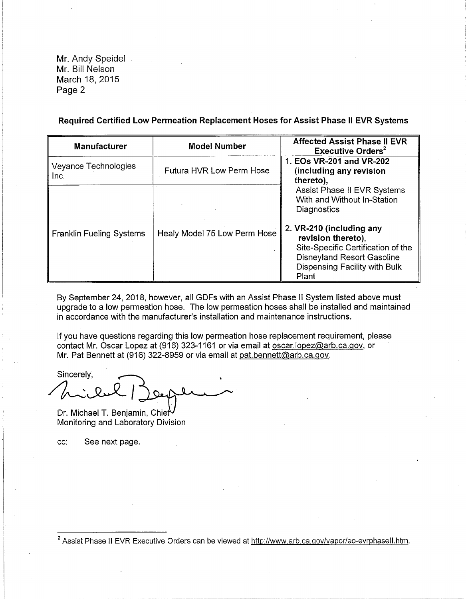Mr. Andy Speidel Mr. Bill Nelson March 18, 2015 Page 2

**Required Certified Low Permeation Replacement Hoses for Assist Phase II EVR Systems** 

| <b>Manufacturer</b>             | <b>Model Number</b>             | <b>Affected Assist Phase II EVR</b><br>Executive Orders <sup>2</sup>                                                                                         |
|---------------------------------|---------------------------------|--------------------------------------------------------------------------------------------------------------------------------------------------------------|
| Veyance Technologies<br>Inc.    | <b>Futura HVR Low Perm Hose</b> | 1. EOs VR-201 and VR-202<br>(including any revision<br>thereto),                                                                                             |
|                                 |                                 | Assist Phase II EVR Systems<br>With and Without In-Station<br>Diagnostics                                                                                    |
| <b>Franklin Fueling Systems</b> | Healy Model 75 Low Perm Hose    | 2. VR-210 (including any<br>revision thereto),<br>Site-Specific Certification of the<br>Disneyland Resort Gasoline<br>Dispensing Facility with Bulk<br>Plant |

By September 24, 2018, however, all GDFs with an Assist Phase II System listed above must upgrade to a low permeation hose. The low permeation hoses shall be installed and maintained in accordance with the manufacturer's installation and maintenance instructions.

If you have questions regarding this low permeation hose replacement requirement, please contact Mr. Oscar Lopez at (916) 323-1161 or via email at [oscar.lopez@arb.ca.gov](mailto:oscar.lopez@arb.ca.gov), or Mr. Pat Bennett at (916) 322-8959 or via email at [pat.bennett@arb.ca.gov](mailto:pat.bennett@arb.ca.gov).

Sincerely, Sincereir,

Dr. Michael T. Benjamin, Chie Monitoring and Laboratory Division

cc: See next page.

<sup>&</sup>lt;sup>2</sup> Assist Phase II EVR Executive Orders can be viewed at<http://www.arb.ca.gov/vapor/eo-evrphasell.htm>.